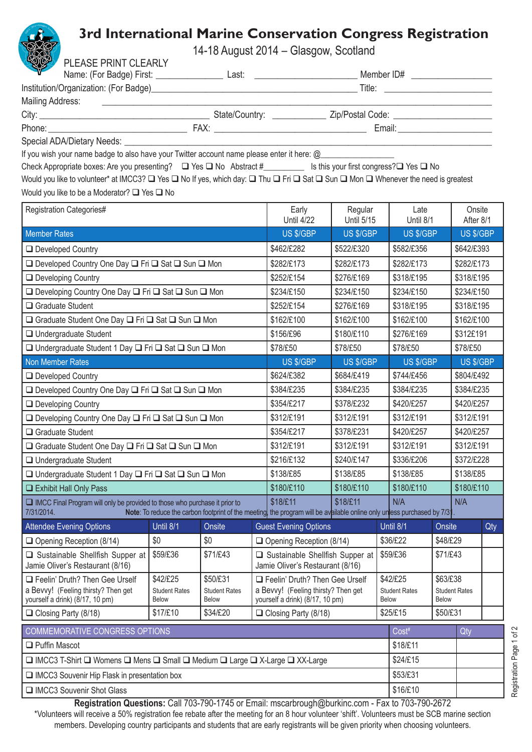## **3rd International Marine Conservation Congress Registration**

14-18 August 2014 – Glasgow, Scotland

| S<br>PLEASE PRINT CLEARLY                                                                                                                                                                                                   |                                                              |                                      |                   | 11107690002011 UROgow, Occident                                        |                                        |            |                                                      |            |                      |            |
|-----------------------------------------------------------------------------------------------------------------------------------------------------------------------------------------------------------------------------|--------------------------------------------------------------|--------------------------------------|-------------------|------------------------------------------------------------------------|----------------------------------------|------------|------------------------------------------------------|------------|----------------------|------------|
|                                                                                                                                                                                                                             |                                                              |                                      |                   |                                                                        |                                        |            |                                                      |            |                      |            |
|                                                                                                                                                                                                                             |                                                              |                                      |                   |                                                                        |                                        |            |                                                      |            |                      |            |
| Mailing Address:                                                                                                                                                                                                            | <u> 1989 - Johann John Stone, market francuski filozof (</u> |                                      |                   |                                                                        |                                        |            |                                                      |            |                      |            |
|                                                                                                                                                                                                                             |                                                              |                                      |                   |                                                                        | Email: <u>________________________</u> |            |                                                      |            |                      |            |
| Special ADA/Dietary Needs: Verman March 2014                                                                                                                                                                                |                                                              |                                      |                   |                                                                        |                                        |            |                                                      |            |                      |            |
| If you wish your name badge to also have your Twitter account name please enter it here: @                                                                                                                                  |                                                              |                                      |                   |                                                                        |                                        |            |                                                      |            |                      |            |
| Check Appropriate boxes: Are you presenting? $\Box$ Yes $\Box$ No Abstract #___________ Is this your first congress? $\Box$ Yes $\Box$ No                                                                                   |                                                              |                                      |                   |                                                                        |                                        |            |                                                      |            |                      |            |
| Would you like to volunteer* at IMCC3? □ Yes □ No If yes, which day: □ Thu □ Fri □ Sat □ Sun □ Mon □ Whenever the need is greatest                                                                                          |                                                              |                                      |                   |                                                                        |                                        |            |                                                      |            |                      |            |
| Would you like to be a Moderator? □ Yes □ No                                                                                                                                                                                |                                                              |                                      |                   |                                                                        |                                        |            |                                                      |            |                      |            |
| <b>Registration Categories#</b>                                                                                                                                                                                             |                                                              |                                      | Early             | Regular                                                                |                                        | Late       |                                                      | Onsite     |                      |            |
|                                                                                                                                                                                                                             |                                                              |                                      | <b>Until 4/22</b> | <b>Until 5/15</b>                                                      |                                        | Until 8/1  |                                                      | After 8/1  |                      |            |
| <b>Member Rates</b>                                                                                                                                                                                                         |                                                              |                                      |                   | US \$/GBP                                                              | US \$/GBP                              |            | US \$/GBP                                            |            | US \$/GBP            |            |
| □ Developed Country                                                                                                                                                                                                         |                                                              |                                      | \$462/£282        | \$522/£320                                                             |                                        | \$582/£356 |                                                      |            | \$642/£393           |            |
| □ Developed Country One Day □ Fri □ Sat □ Sun □ Mon                                                                                                                                                                         |                                                              |                                      | \$282/£173        | \$282/£173<br>\$282/£173                                               |                                        | \$282/£173 |                                                      |            |                      |            |
| □ Developing Country                                                                                                                                                                                                        |                                                              |                                      |                   | \$252/£154                                                             | \$276/£169                             |            | \$318/£195                                           | \$318/£195 |                      |            |
| □ Developing Country One Day □ Fri □ Sat □ Sun □ Mon                                                                                                                                                                        |                                                              |                                      |                   | \$234/£150                                                             | \$234/£150                             |            | \$234/£150                                           |            |                      | \$234/£150 |
| Graduate Student                                                                                                                                                                                                            |                                                              |                                      |                   | \$252/£154                                                             | \$276/£169                             | \$318/£195 |                                                      | \$318/£195 |                      |            |
| □ Graduate Student One Day □ Fri □ Sat □ Sun □ Mon                                                                                                                                                                          |                                                              |                                      |                   | \$162/£100                                                             | \$162/£100                             | \$162/£100 |                                                      | \$162/£100 |                      |            |
| $\Box$ Undergraduate Student                                                                                                                                                                                                |                                                              |                                      | \$156/£96         | \$180/£110                                                             |                                        | \$276/£169 |                                                      |            | \$312£191            |            |
| □ Undergraduate Student 1 Day □ Fri □ Sat □ Sun □ Mon                                                                                                                                                                       |                                                              |                                      | \$78/£50          | \$78/£50                                                               |                                        | \$78/£50   | \$78/£50                                             |            |                      |            |
| Non Member Rates                                                                                                                                                                                                            |                                                              |                                      | US \$/GBP         | US \$/GBP<br>US \$/GBP                                                 |                                        | US \$/GBP  |                                                      |            |                      |            |
| □ Developed Country                                                                                                                                                                                                         |                                                              |                                      |                   | \$624/£382                                                             | \$684/£419                             | \$744/£456 |                                                      |            | \$804/£492           |            |
| □ Developed Country One Day □ Fri □ Sat □ Sun □ Mon                                                                                                                                                                         |                                                              |                                      | \$384/£235        | \$384/£235                                                             |                                        | \$384/£235 |                                                      | \$384/£235 |                      |            |
| □ Developing Country                                                                                                                                                                                                        |                                                              |                                      | \$354/£217        | \$378/£232                                                             | \$420/£257                             |            | \$420/£257                                           |            |                      |            |
| □ Developing Country One Day □ Fri □ Sat □ Sun □ Mon                                                                                                                                                                        |                                                              |                                      | \$312/£191        | \$312/£191<br>\$312/£191                                               |                                        | \$312/£191 |                                                      |            |                      |            |
| Graduate Student                                                                                                                                                                                                            |                                                              |                                      | \$354/£217        | \$378/£231<br>\$420/£257                                               |                                        | \$420/£257 |                                                      |            |                      |            |
| □ Graduate Student One Day □ Fri □ Sat □ Sun □ Mon                                                                                                                                                                          |                                                              |                                      | \$312/£191        | \$312/£191<br>\$312/£191                                               |                                        |            | \$312/£191                                           |            |                      |            |
| □ Undergraduate Student                                                                                                                                                                                                     |                                                              |                                      | \$216/£132        | \$240/£147<br>\$336/£206                                               |                                        |            | \$372/£228                                           |            |                      |            |
| □ Undergraduate Student 1 Day □ Fri □ Sat □ Sun □ Mon                                                                                                                                                                       |                                                              |                                      | \$138/£85         | \$138/£85                                                              | \$138/£85                              |            |                                                      | \$138/£85  |                      |            |
| Exhibit Hall Only Pass                                                                                                                                                                                                      |                                                              |                                      | \$180/£110        | \$180/£110                                                             |                                        | \$180/£110 |                                                      | \$180/£110 |                      |            |
| $\Box$ IMCC Final Program will only be provided to those who purchase it prior to<br>Note: To reduce the carbon footprint of the meeting, the program will be available online only unless purchased by 7/31.<br>7/31/2014. |                                                              | \$18/£11                             | \$18/£11<br>N/A   |                                                                        | N/A                                    |            |                                                      |            |                      |            |
| <b>Attendee Evening Options</b>                                                                                                                                                                                             | Until 8/1                                                    | Onsite                               |                   | <b>Guest Evening Options</b>                                           |                                        |            | Until 8/1                                            | Onsite     |                      | Qty        |
| $\Box$ Opening Reception (8/14)                                                                                                                                                                                             | \$0                                                          | \$0                                  |                   | $\Box$ Opening Reception (8/14)                                        |                                        |            | \$36/£22                                             | \$48/£29   |                      |            |
| □ Sustainable Shellfish Supper at<br>Jamie Oliver's Restaurant (8/16)                                                                                                                                                       | \$59/£36                                                     | \$71/£43                             |                   | □ Sustainable Shellfish Supper at<br>Jamie Oliver's Restaurant (8/16)  |                                        | \$59/£36   |                                                      | \$71/£43   |                      |            |
| Feelin' Druth? Then Gee Urself                                                                                                                                                                                              | \$42/£25                                                     | \$50/£31                             |                   | Feelin' Druth? Then Gee Urself                                         |                                        |            | \$42/£25<br>\$63/£38                                 |            |                      |            |
| a Bevvy! (Feeling thirsty? Then get<br>yourself a drink) (8/17, 10 pm)                                                                                                                                                      | <b>Student Rates</b><br><b>Below</b>                         | <b>Student Rates</b><br><b>Below</b> |                   | a Bevvy! (Feeling thirsty? Then get<br>yourself a drink) (8/17, 10 pm) |                                        |            | <b>Student Rates</b><br><b>Below</b><br><b>Below</b> |            | <b>Student Rates</b> |            |
| $\Box$ Closing Party (8/18)                                                                                                                                                                                                 | \$17/£10                                                     | \$34/£20                             |                   | □ Closing Party (8/18)                                                 |                                        |            | \$25/£15<br>\$50/£31                                 |            |                      |            |
| COMMEMORATIVE CONGRESS OPTIONS                                                                                                                                                                                              |                                                              |                                      |                   |                                                                        | Cost <sup>#</sup>                      |            | Qty                                                  |            |                      |            |
| $\Box$ Puffin Mascot                                                                                                                                                                                                        |                                                              |                                      |                   |                                                                        | \$18/£11                               |            |                                                      |            |                      |            |
| □ IMCC3 T-Shirt □ Womens □ Mens □ Small □ Medium □ Large □ X-Large □ XX-Large                                                                                                                                               |                                                              |                                      |                   |                                                                        | \$24/£15                               |            |                                                      |            |                      |            |
| $\Box$ IMCC3 Souvenir Hip Flask in presentation box                                                                                                                                                                         |                                                              |                                      |                   |                                                                        | \$53/£31                               |            |                                                      |            |                      |            |
| IMCC3 Souvenir Shot Glass                                                                                                                                                                                                   |                                                              |                                      |                   |                                                                        | \$16/£10                               |            |                                                      |            |                      |            |
| <b>Pegistration Questions:</b> Call 703-790-1745 or Email: mscarbrough@burking.com - Eax to 703-790-2672                                                                                                                    |                                                              |                                      |                   |                                                                        |                                        |            |                                                      |            |                      |            |

**Registration Questions:** Call 703-790-1745 or Email: mscarbrough@burkinc.com - Fax to 703-790-2672 \*Volunteers will receive a 50% registration fee rebate after the meeting for an 8 hour volunteer 'shift'. Volunteers must be SCB marine section members. Developing country participants and students that are early registrants will be given priority when choosing volunteers.